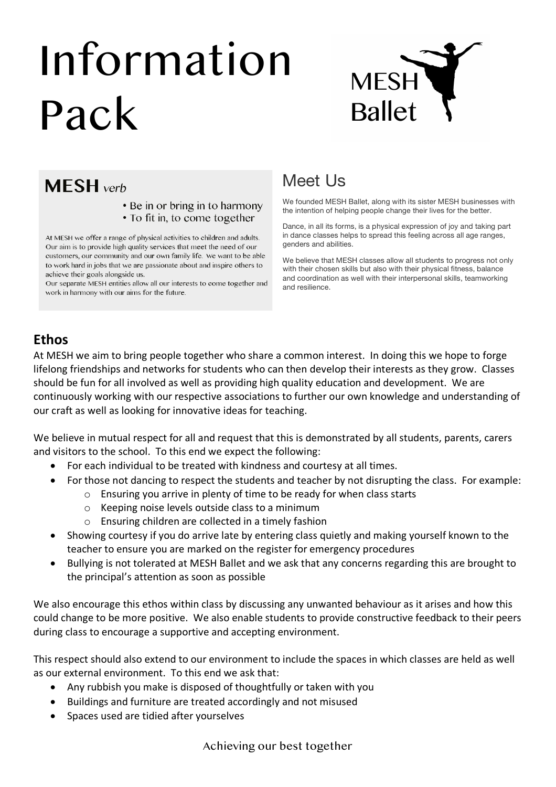# Information Pack



# **MESH** verb

- Be in or bring in to harmony
- To fit in, to come together

At MESH we offer a range of physical activities to children and adults. Our aim is to provide high quality services that meet the need of our customers, our community and our own family life. We want to be able to work hard in jobs that we are passionate about and inspire others to achieve their goals alongside us.

Our separate MESH entities allow all our interests to come together and work in harmony with our aims for the future.

## Meet Us

We founded MESH Ballet, along with its sister MESH businesses with the intention of helping people change their lives for the better.

Dance, in all its forms, is a physical expression of joy and taking part in dance classes helps to spread this feeling across all age ranges, genders and abilities.

We believe that MESH classes allow all students to progress not only with their chosen skills but also with their physical fitness, balance and coordination as well with their interpersonal skills, teamworking and resilience.

### **Ethos**

At MESH we aim to bring people together who share a common interest. In doing this we hope to forge lifelong friendships and networks for students who can then develop their interests as they grow. Classes should be fun for all involved as well as providing high quality education and development. We are continuously working with our respective associations to further our own knowledge and understanding of our craft as well as looking for innovative ideas for teaching.

We believe in mutual respect for all and request that this is demonstrated by all students, parents, carers and visitors to the school. To this end we expect the following:

- For each individual to be treated with kindness and courtesy at all times.
- For those not dancing to respect the students and teacher by not disrupting the class. For example:
	- o Ensuring you arrive in plenty of time to be ready for when class starts
	- o Keeping noise levels outside class to a minimum
	- o Ensuring children are collected in a timely fashion
- Showing courtesy if you do arrive late by entering class quietly and making yourself known to the teacher to ensure you are marked on the register for emergency procedures
- Bullying is not tolerated at MESH Ballet and we ask that any concerns regarding this are brought to the principal's attention as soon as possible

We also encourage this ethos within class by discussing any unwanted behaviour as it arises and how this could change to be more positive. We also enable students to provide constructive feedback to their peers during class to encourage a supportive and accepting environment.

This respect should also extend to our environment to include the spaces in which classes are held as well as our external environment. To this end we ask that:

- Any rubbish you make is disposed of thoughtfully or taken with you
- Buildings and furniture are treated accordingly and not misused
- Spaces used are tidied after yourselves

Achieving our best together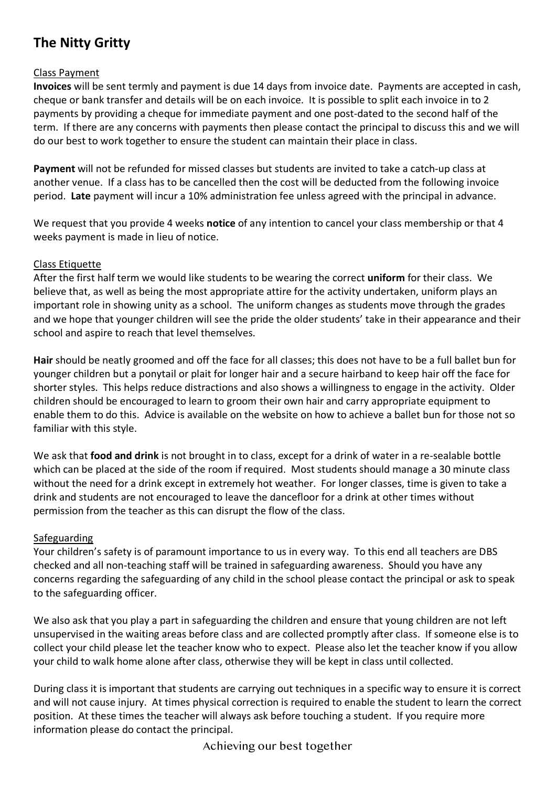## **The Nitty Gritty**

#### Class Payment

**Invoices** will be sent termly and payment is due 14 days from invoice date. Payments are accepted in cash, cheque or bank transfer and details will be on each invoice. It is possible to split each invoice in to 2 payments by providing a cheque for immediate payment and one post-dated to the second half of the term. If there are any concerns with payments then please contact the principal to discuss this and we will do our best to work together to ensure the student can maintain their place in class.

**Payment** will not be refunded for missed classes but students are invited to take a catch-up class at another venue. If a class has to be cancelled then the cost will be deducted from the following invoice period. **Late** payment will incur a 10% administration fee unless agreed with the principal in advance.

We request that you provide 4 weeks **notice** of any intention to cancel your class membership or that 4 weeks payment is made in lieu of notice.

#### Class Etiquette

After the first half term we would like students to be wearing the correct **uniform** for their class. We believe that, as well as being the most appropriate attire for the activity undertaken, uniform plays an important role in showing unity as a school. The uniform changes as students move through the grades and we hope that younger children will see the pride the older students' take in their appearance and their school and aspire to reach that level themselves.

**Hair** should be neatly groomed and off the face for all classes; this does not have to be a full ballet bun for younger children but a ponytail or plait for longer hair and a secure hairband to keep hair off the face for shorter styles. This helps reduce distractions and also shows a willingness to engage in the activity. Older children should be encouraged to learn to groom their own hair and carry appropriate equipment to enable them to do this. Advice is available on the website on how to achieve a ballet bun for those not so familiar with this style.

We ask that **food and drink** is not brought in to class, except for a drink of water in a re-sealable bottle which can be placed at the side of the room if required. Most students should manage a 30 minute class without the need for a drink except in extremely hot weather. For longer classes, time is given to take a drink and students are not encouraged to leave the dancefloor for a drink at other times without permission from the teacher as this can disrupt the flow of the class.

#### Safeguarding

Your children's safety is of paramount importance to us in every way. To this end all teachers are DBS checked and all non-teaching staff will be trained in safeguarding awareness. Should you have any concerns regarding the safeguarding of any child in the school please contact the principal or ask to speak to the safeguarding officer.

We also ask that you play a part in safeguarding the children and ensure that young children are not left unsupervised in the waiting areas before class and are collected promptly after class. If someone else is to collect your child please let the teacher know who to expect. Please also let the teacher know if you allow your child to walk home alone after class, otherwise they will be kept in class until collected.

During class it is important that students are carrying out techniques in a specific way to ensure it is correct and will not cause injury. At times physical correction is required to enable the student to learn the correct position. At these times the teacher will always ask before touching a student. If you require more information please do contact the principal.

Achieving our best together